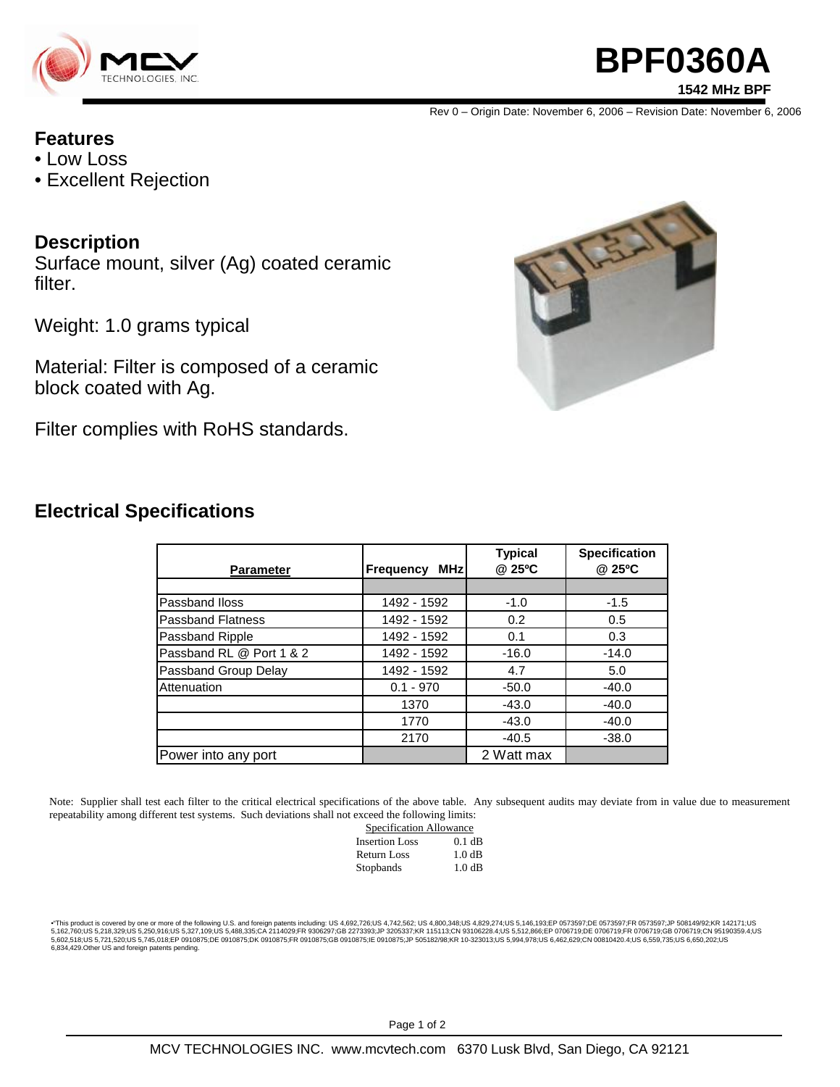

# **BPF0360A 1542 MHz BPF**

Rev 0 – Origin Date: November 6, 2006 – Revision Date: November 6, 2006

### **Features**

- Low Loss
- Excellent Rejection

### **Description**

Surface mount, silver (Ag) coated ceramic filter.

Weight: 1.0 grams typical

Material: Filter is composed of a ceramic block coated with Ag.

Filter complies with RoHS standards.



### **Electrical Specifications**

| <b>Parameter</b>         | <b>MHz</b><br><b>Frequency</b> | <b>Typical</b><br>@ 25°C | <b>Specification</b><br>@ 25°C |
|--------------------------|--------------------------------|--------------------------|--------------------------------|
|                          |                                |                          |                                |
| Passband Iloss           | 1492 - 1592                    | $-1.0$                   | $-1.5$                         |
| <b>Passband Flatness</b> | 1492 - 1592                    | 0.2                      | 0.5                            |
| Passband Ripple          | 1492 - 1592                    | 0.1                      | 0.3                            |
| Passband RL @ Port 1 & 2 | 1492 - 1592                    | $-16.0$                  | $-14.0$                        |
| Passband Group Delay     | 1492 - 1592                    | 4.7                      | 5.0                            |
| Attenuation              | $0.1 - 970$                    | $-50.0$                  | $-40.0$                        |
|                          | 1370                           | $-43.0$                  | $-40.0$                        |
|                          | 1770                           | $-43.0$                  | $-40.0$                        |
|                          | 2170                           | $-40.5$                  | $-38.0$                        |
| Power into any port      |                                | 2 Watt max               |                                |

Note: Supplier shall test each filter to the critical electrical specifications of the above table. Any subsequent audits may deviate from in value due to measurement repeatability among different test systems. Such deviations shall not exceed the following limits:

| Specification Allowance |          |  |
|-------------------------|----------|--|
| <b>Insertion Loss</b>   | $0.1$ dB |  |
| Return Loss             | 1.0 dB   |  |
| Stopbands               | 1.0 dB   |  |

\*This product is covered by one or more of the following U.S. and foreign patents including: US 4,692,726;US 4,742,562; US 4,800,348;US 4,829,274;US 5,146,193;EP 0573597;DE 0573597;FR 0573597;JP 508149/92;KR 142171;US<br>5,16 6,834,429.Other US and foreign patents pending.

Page 1 of 2